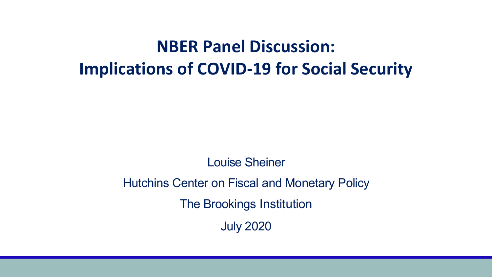# **NBER Panel Discussion: Implications of COVID-19 for Social Security**

Louise Sheiner

#### Hutchins Center on Fiscal and Monetary Policy

The Brookings Institution

July 2020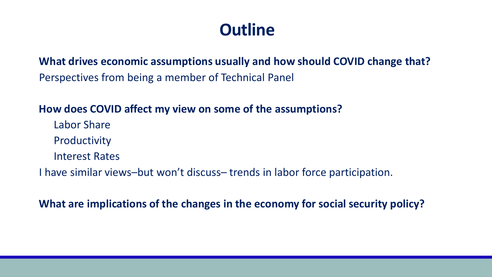# **Outline**

**What drives economic assumptions usually and how should COVID change that?**  Perspectives from being a member of Technical Panel

#### **How does COVID affect my view on some of the assumptions?**

- Labor Share
- Productivity
- Interest Rates
- I have similar views–but won't discuss– trends in labor force participation.

**What are implications of the changes in the economy for social security policy?**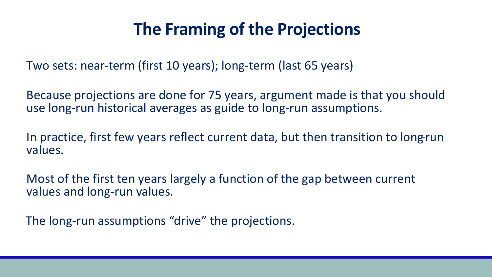# **The Framing of the Projections**

Two sets: near-term (first 10 years); long-term (last 65 years)

Because projections are done for 75 years, argument made is that you should use long-run historical averages as guide to long-run assumptions.

In practice, first few years reflect current data, but then transition to long-run values.

Most of the first ten years largely a function of the gap between current values and long-run values.

The long-run assumptions "drive" the projections.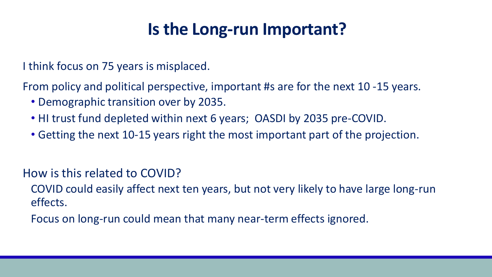# **Is the Long-run Important?**

I think focus on 75 years is misplaced.

From policy and political perspective, important #s are for the next 10 -15 years.

- Demographic transition over by 2035.
- HI trust fund depleted within next 6 years; OASDI by 2035 pre-COVID.
- Getting the next 10-15 years right the most important part of the projection.

How is this related to COVID?

COVID could easily affect next ten years, but not very likely to have large long-run effects.

Focus on long-run could mean that many near-term effects ignored.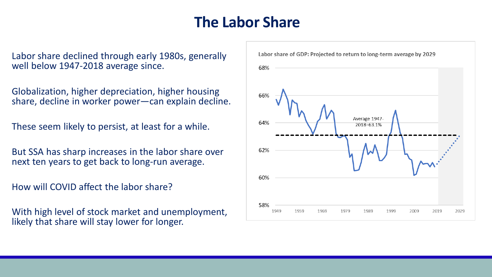## **The Labor Share**

Labor share declined through early 1980s, generally well below 1947-2018 average since.

Globalization, higher depreciation, higher housing share, decline in worker power—can explain decline.

These seem likely to persist, at least for a while.

But SSA has sharp increases in the labor share over next ten years to get back to long-run average.

How will COVID affect the labor share?

With high level of stock market and unemployment, likely that share will stay lower for longer.

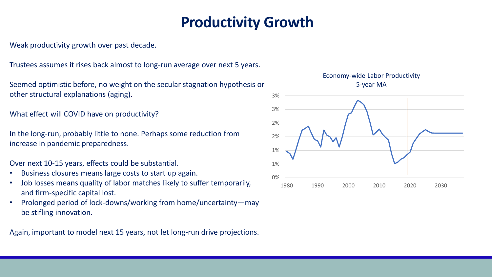## **Productivity Growth**

Weak productivity growth over past decade.

Trustees assumes it rises back almost to long-run average over next 5 years.

Seemed optimistic before, no weight on the secular stagnation hypothesis or other structural explanations (aging).

What effect will COVID have on productivity?

In the long-run, probably little to none. Perhaps some reduction from increase in pandemic preparedness.

Over next 10-15 years, effects could be substantial.

- Business closures means large costs to start up again.
- Job losses means quality of labor matches likely to suffer temporarily, and firm-specific capital lost.
- Prolonged period of lock-downs/working from home/uncertainty—may be stifling innovation.

Again, important to model next 15 years, not let long-run drive projections.

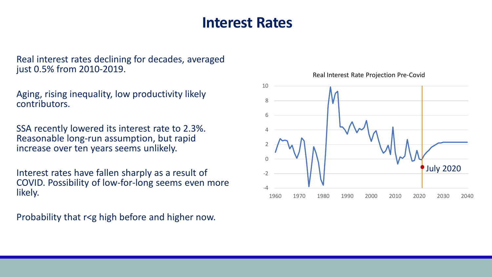### **Interest Rates**

Real interest rates declining for decades, averaged just 0.5% from 2010-2019.

Aging, rising inequality, low productivity likely contributors.

SSA recently lowered its interest rate to 2.3%. Reasonable long-run assumption, but rapid increase over ten years seems unlikely.

Interest rates have fallen sharply as a result of COVID. Possibility of low-for-long seems even more likely.

Probability that r<g high before and higher now.



Real Interest Rate Projection Pre-Covid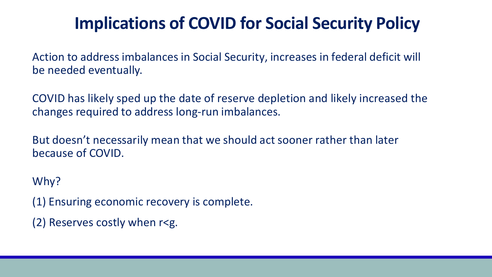# **Implications of COVID for Social Security Policy**

Action to address imbalances in Social Security, increases in federal deficit will be needed eventually.

COVID has likely sped up the date of reserve depletion and likely increased the changes required to address long-run imbalances.

But doesn't necessarily mean that we should act sooner rather than later because of COVID.

Why?

(1) Ensuring economic recovery is complete.

(2) Reserves costly when r<g.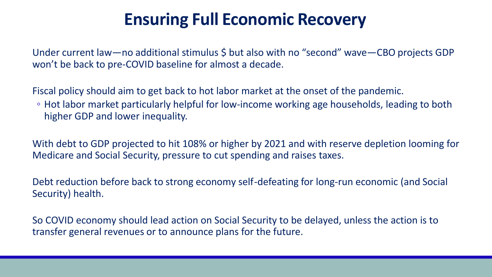# **Ensuring Full Economic Recovery**

Under current law—no additional stimulus \$ but also with no "second" wave—CBO projects GDP won't be back to pre-COVID baseline for almost a decade.

Fiscal policy should aim to get back to hot labor market at the onset of the pandemic.

◦ Hot labor market particularly helpful for low-income working age households, leading to both higher GDP and lower inequality.

With debt to GDP projected to hit 108% or higher by 2021 and with reserve depletion looming for Medicare and Social Security, pressure to cut spending and raises taxes.

Debt reduction before back to strong economy self-defeating for long-run economic (and Social Security) health.

So COVID economy should lead action on Social Security to be delayed, unless the action is to transfer general revenues or to announce plans for the future.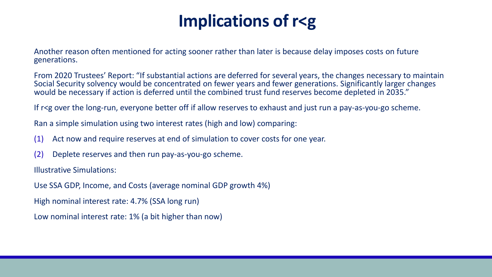# **Implications of r<g**

Another reason often mentioned for acting sooner rather than later is because delay imposes costs on future generations.

From 2020 Trustees' Report: "If substantial actions are deferred for several years, the changes necessary to maintain Social Security solvency would be concentrated on fewer years and fewer generations. Significantly larger changes would be necessary if action is deferred until the combined trust fund reserves become depleted in 2035."

If r<g over the long-run, everyone better off if allow reserves to exhaust and just run a pay-as-you-go scheme.

Ran a simple simulation using two interest rates (high and low) comparing:

- (1) Act now and require reserves at end of simulation to cover costs for one year.
- (2) Deplete reserves and then run pay-as-you-go scheme.

Illustrative Simulations:

Use SSA GDP, Income, and Costs (average nominal GDP growth 4%)

High nominal interest rate: 4.7% (SSA long run)

Low nominal interest rate: 1% (a bit higher than now)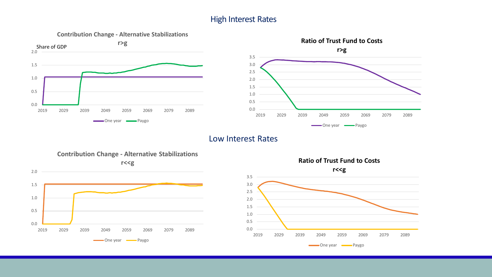#### High Interest Rates